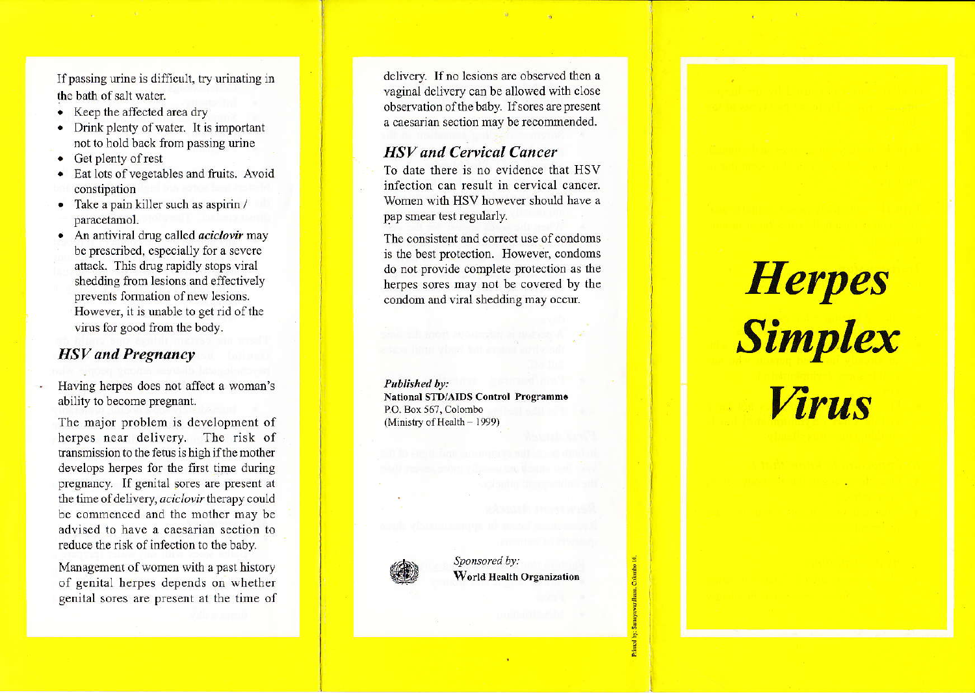If passing urine is difficult, try urinating in thc bath of salt waier.

- . Keep the aflected area dry
- $\bullet$  Drink plenty of water. It is important not to hold back from passing urine
- Get plenty of rest
- Eat lots of vegetables and fruits. Avoid constipation
- . Take a pain killer such as aspirin / paracetamol.
- $\bullet$  An antiviral drug called *aciclovir* may be prescribed, especially for a severe attack. This drug rapidly stops viral shedding from lesions and effectively prevents formation of new lesions. However, it is unable to get rid of the virus for good from the body.

# HSV and Pregnancy

Having herpes does not affect a woman's ability to become pregnant.

The major problem is development of herpes near delivery. The risk of transmission to the fetus is high ifthe mother develops herpes for the first time during pregnancy. If genital sores are present at the time of delivery, *aciclovir* therapy could be commenced and the mother may be advised to have a caesarian section to reduce the risk of infection to the baby.

Management of women with a past history of genital herpes depends on whether -genital sores are present at the time of

delivery. If no lesions are observed then a vaginai delivery can be allowed with close observation of the baby. If sores are present a caesarian section may be recommended.

# **HSV** and Cervical Cancer

To date there is no evidence that HSV infection can result in cervical cancer. women wifh HSV however should have a pap smear test regularly.

The consistent and correct use of condoms is the best protection. However, condoms do not provide complete protection as the herpes sores may not be covered by the condom and viral shedding may occur

Published by: National STD/AIDS Control Programme P.O. Box 567, Colombo (Ministry of Health  $-1999$ )



Sponsored by: World Health Organization

5

**Printed** 

# **Herpes** Simplex Wrus